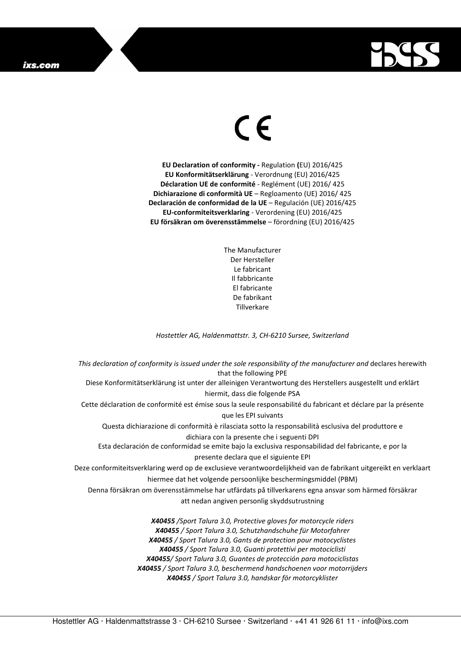## ixs.com



## $\in$

**EU Declaration of conformity -** Regulation **(**EU) 2016/425 **EU Konformitätserklärung** - Verordnung (EU) 2016/425 **Déclaration UE de conformité** - Reglément (UE) 2016/ 425 **Dichiarazione di conformità UE** – Regloamento (UE) 2016/ 425 **Declaración de conformidad de la UE** – Regulación (UE) 2016/425 **EU-conformiteitsverklaring** - Verordening (EU) 2016/425 **EU försäkran om överensstämmelse** – förordning (EU) 2016/425

> The Manufacturer Der Hersteller Le fabricant Il fabbricante El fabricante De fabrikant **Tillverkare**

*Hostettler AG, Haldenmattstr. 3, CH-6210 Sursee, Switzerland* 

*This declaration of conformity is issued under the sole responsibility of the manufacturer and* declares herewith that the following PPE Diese Konformitätserklärung ist unter der alleinigen Verantwortung des Herstellers ausgestellt und erklärt hiermit, dass die folgende PSA Cette déclaration de conformité est émise sous la seule responsabilité du fabricant et déclare par la présente que les EPI suivants Questa dichiarazione di conformità è rilasciata sotto la responsabilità esclusiva del produttore e dichiara con la presente che i seguenti DPI Esta declaración de conformidad se emite bajo la exclusiva responsabilidad del fabricante, e por la presente declara que el siguiente EPI Deze conformiteitsverklaring werd op de exclusieve verantwoordelijkheid van de fabrikant uitgereikt en verklaart hiermee dat het volgende persoonlijke beschermingsmiddel (PBM) Denna försäkran om överensstämmelse har utfärdats på tillverkarens egna ansvar som härmed försäkrar att nedan angiven personlig skyddsutrustning *X40455 /Sport Talura 3.0, Protective gloves for motorcycle riders X40455 / Sport Talura 3.0, Schutzhandschuhe für Motorfahrer X40455 / Sport Talura 3.0, Gants de protection pour motocyclistes X40455 / Sport Talura 3.0, Guanti protettivi per motociclisti X40455/ Sport Talura 3.0, Guantes de protección para motociclistas* 

*X40455 / Sport Talura 3.0, beschermend handschoenen voor motorrijders* 

*X40455 / Sport Talura 3.0, handskar för motorcyklister*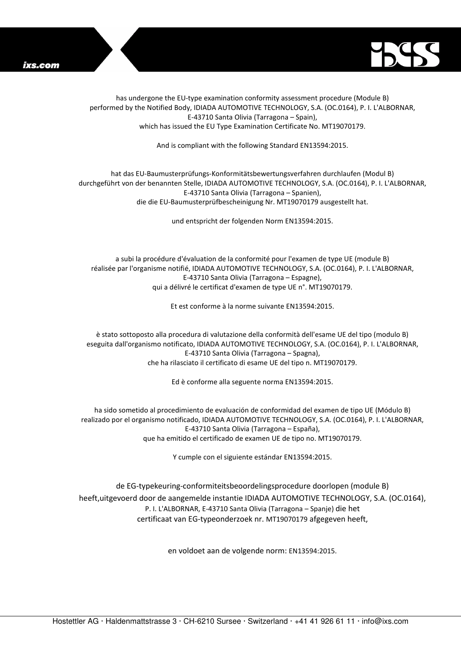



has undergone the EU-type examination conformity assessment procedure (Module B) performed by the Notified Body, IDIADA AUTOMOTIVE TECHNOLOGY, S.A. (OC.0164), P. I. L'ALBORNAR, E-43710 Santa Olivia (Tarragona – Spain), which has issued the EU Type Examination Certificate No. MT19070179.

And is compliant with the following Standard EN13594:2015.

## hat das EU-Baumusterprüfungs-Konformitätsbewertungsverfahren durchlaufen (Modul B) durchgeführt von der benannten Stelle, IDIADA AUTOMOTIVE TECHNOLOGY, S.A. (OC.0164), P. I. L'ALBORNAR, E-43710 Santa Olivia (Tarragona – Spanien), die die EU-Baumusterprüfbescheinigung Nr. MT19070179 ausgestellt hat.

und entspricht der folgenden Norm EN13594:2015.

a subi la procédure d'évaluation de la conformité pour l'examen de type UE (module B) réalisée par l'organisme notifié, IDIADA AUTOMOTIVE TECHNOLOGY, S.A. (OC.0164), P. I. L'ALBORNAR, E-43710 Santa Olivia (Tarragona – Espagne), qui a délivré le certificat d'examen de type UE n°. MT19070179.

Et est conforme à la norme suivante EN13594:2015.

è stato sottoposto alla procedura di valutazione della conformità dell'esame UE del tipo (modulo B) eseguita dall'organismo notificato, IDIADA AUTOMOTIVE TECHNOLOGY, S.A. (OC.0164), P. I. L'ALBORNAR, E-43710 Santa Olivia (Tarragona – Spagna), che ha rilasciato il certificato di esame UE del tipo n. MT19070179.

Ed è conforme alla seguente norma EN13594:2015.

ha sido sometido al procedimiento de evaluación de conformidad del examen de tipo UE (Módulo B) realizado por el organismo notificado, IDIADA AUTOMOTIVE TECHNOLOGY, S.A. (OC.0164), P. I. L'ALBORNAR, E-43710 Santa Olivia (Tarragona – España), que ha emitido el certificado de examen UE de tipo no. MT19070179.

Y cumple con el siguiente estándar EN13594:2015.

de EG-typekeuring-conformiteitsbeoordelingsprocedure doorlopen (module B) heeft,uitgevoerd door de aangemelde instantie IDIADA AUTOMOTIVE TECHNOLOGY, S.A. (OC.0164), P. I. L'ALBORNAR, E-43710 Santa Olivia (Tarragona – Spanje) die het certificaat van EG-typeonderzoek nr. MT19070179 afgegeven heeft,

en voldoet aan de volgende norm: EN13594:2015.